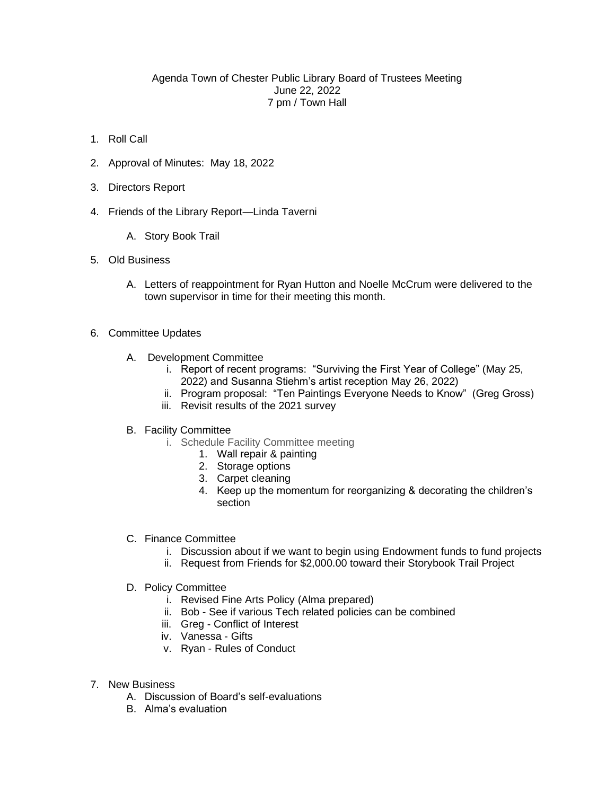## Agenda Town of Chester Public Library Board of Trustees Meeting June 22, 2022 7 pm / Town Hall

- 1. Roll Call
- 2. Approval of Minutes: May 18, 2022
- 3. Directors Report
- 4. Friends of the Library Report—Linda Taverni
	- A. Story Book Trail
- 5. Old Business
	- A. Letters of reappointment for Ryan Hutton and Noelle McCrum were delivered to the town supervisor in time for their meeting this month.
- 6. Committee Updates
	- A. Development Committee
		- i. Report of recent programs: "Surviving the First Year of College" (May 25, 2022) and Susanna Stiehm's artist reception May 26, 2022)
		- ii. Program proposal: "Ten Paintings Everyone Needs to Know" (Greg Gross)
		- iii. Revisit results of the 2021 survey
	- B. Facility Committee
		- i. Schedule Facility Committee meeting
			- 1. Wall repair & painting
			- 2. Storage options
			- 3. Carpet cleaning
			- 4. Keep up the momentum for reorganizing & decorating the children's section
	- C. Finance Committee
		- i. Discussion about if we want to begin using Endowment funds to fund projects
		- ii. Request from Friends for \$2,000.00 toward their Storybook Trail Project
	- D. Policy Committee
		- i. Revised Fine Arts Policy (Alma prepared)
		- ii. Bob See if various Tech related policies can be combined
		- iii. Greg Conflict of Interest
		- iv. Vanessa Gifts
		- v. Ryan Rules of Conduct
- 7. New Business
	- A. Discussion of Board's self-evaluations
	- B. Alma's evaluation